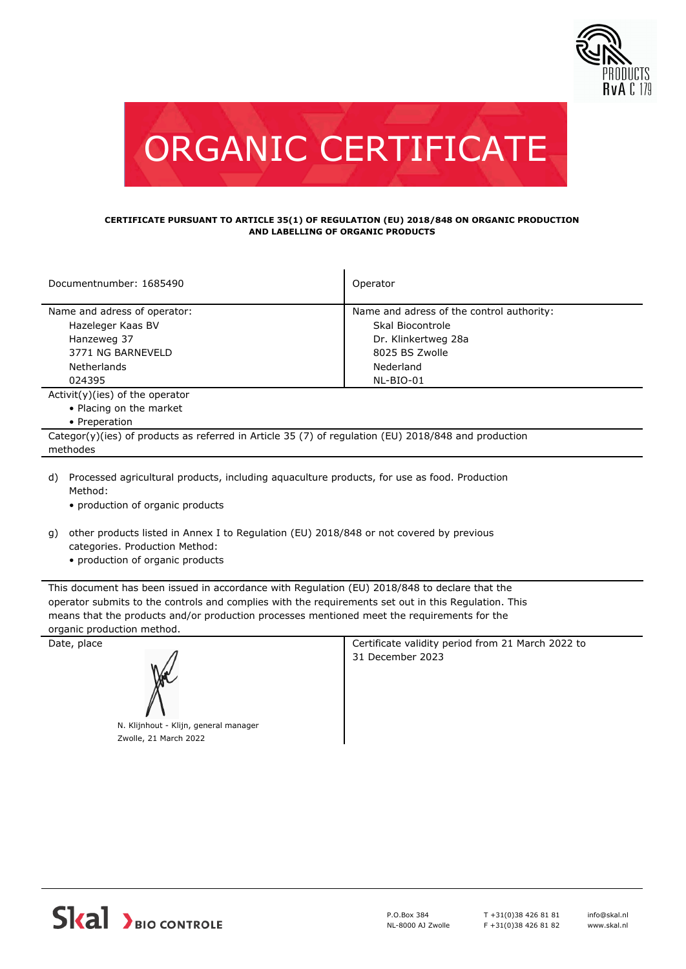



## **CERTIFICATE PURSUANT TO ARTICLE 35(1) OF REGULATION (EU) 2018/848 ON ORGANIC PRODUCTION AND LABELLING OF ORGANIC PRODUCTS**

| Documentnumber: 1685490                                                                                                                           | Operator                                  |  |  |  |
|---------------------------------------------------------------------------------------------------------------------------------------------------|-------------------------------------------|--|--|--|
| Name and adress of operator:                                                                                                                      | Name and adress of the control authority: |  |  |  |
| Hazeleger Kaas BV                                                                                                                                 | Skal Biocontrole                          |  |  |  |
| Hanzeweg 37                                                                                                                                       | Dr. Klinkertweg 28a                       |  |  |  |
| 3771 NG BARNEVELD                                                                                                                                 | 8025 BS Zwolle                            |  |  |  |
| Netherlands                                                                                                                                       | Nederland                                 |  |  |  |
| 024395                                                                                                                                            | NL-BIO-01                                 |  |  |  |
| $Activity)(ies)$ of the operator                                                                                                                  |                                           |  |  |  |
| • Placing on the market                                                                                                                           |                                           |  |  |  |
| • Preperation                                                                                                                                     |                                           |  |  |  |
| Categor(y)(ies) of products as referred in Article 35 (7) of regulation (EU) 2018/848 and production                                              |                                           |  |  |  |
| methodes                                                                                                                                          |                                           |  |  |  |
| Processed agricultural products, including aguaculture products, for use as food. Production<br>d)<br>Method:<br>• production of organic products |                                           |  |  |  |

- other products listed in Annex I to Regulation (EU) 2018/848 or not covered by previous g)
	- categories. Production Method:
	- production of organic products

This document has been issued in accordance with Regulation (EU) 2018/848 to declare that the operator submits to the controls and complies with the requirements set out in this Regulation. This means that the products and/or production processes mentioned meet the requirements for the organic production method.

Date, place **Certificate validity period from 21 March 2022 to** Certificate validity period from 21 March 2022 to 31 December 2023 N. Klijnhout - Klijn, general manager Zwolle, 21 March 2022